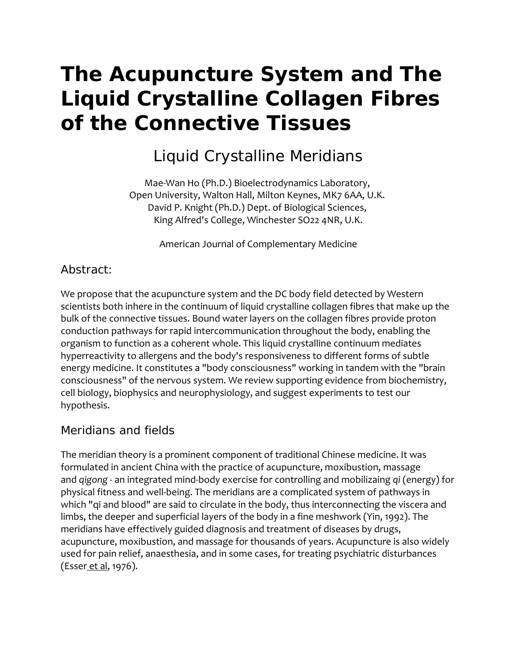# **The Acupuncture System and The Liquid Crystalline Collagen Fibres of the Connective Tissues**

# Liquid Crystalline Meridians

Mae‐Wan Ho (Ph.D.) Bioelectrodynamics Laboratory, Open University, Walton Hall, Milton Keynes, MK7 6AA, U.K. David P. Knight (Ph.D.) Dept. of Biological Sciences, King Alfred's College, Winchester SO22 4NR, U.K.

American Journal of Complementary Medicine

#### Abstract:

We propose that the acupuncture system and the DC body field detected by Western scientists both inhere in the continuum of liquid crystalline collagen fibres that make up the bulk of the connective tissues. Bound water layers on the collagen fibres provide proton conduction pathways for rapid intercommunication throughout the body, enabling the organism to function as a coherent whole. This liquid crystalline continuum mediates hyperreactivity to allergens and the body's responsiveness to different forms of subtle energy medicine. It constitutes a "body consciousness" working in tandem with the "brain consciousness" of the nervous system. We review supporting evidence from biochemistry, cell biology, biophysics and neurophysiology, and suggest experiments to test our hypothesis.

#### Meridians and fields

The meridian theory is a prominent component of traditional Chinese medicine. It was formulated in ancient China with the practice of acupuncture, moxibustion, massage and *qigong* ‐ an integrated mind‐body exercise for controlling and mobilizaing *qi* (energy) for physical fitness and well‐being. The meridians are a complicated system of pathways in which "qi and blood" are said to circulate in the body, thus interconnecting the viscera and limbs, the deeper and superficial layers of the body in a fine meshwork (Yin, 1992). The meridians have effectively guided diagnosis and treatment of diseases by drugs, acupuncture, moxibustion, and massage for thousands of years. Acupuncture is also widely used for pain relief, anaesthesia, and in some cases, for treating psychiatric disturbances (Esser et al, 1976).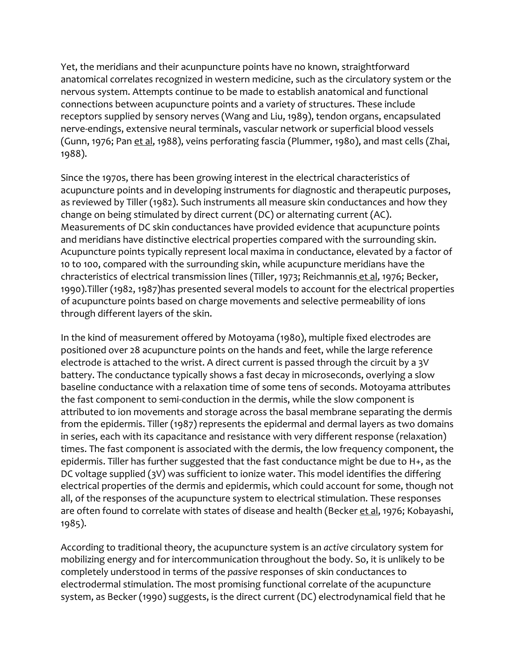Yet, the meridians and their acunpuncture points have no known, straightforward anatomical correlates recognized in western medicine, such as the circulatory system or the nervous system. Attempts continue to be made to establish anatomical and functional connections between acupuncture points and a variety of structures. These include receptors supplied by sensory nerves (Wang and Liu, 1989), tendon organs, encapsulated nerve‐endings, extensive neural terminals, vascular network or superficial blood vessels (Gunn, 1976; Pan et al, 1988), veins perforating fascia (Plummer, 1980), and mast cells (Zhai, 1988).

Since the 1970s, there has been growing interest in the electrical characteristics of acupuncture points and in developing instruments for diagnostic and therapeutic purposes, as reviewed by Tiller (1982). Such instruments all measure skin conductances and how they change on being stimulated by direct current (DC) or alternating current (AC). Measurements of DC skin conductances have provided evidence that acupuncture points and meridians have distinctive electrical properties compared with the surrounding skin. Acupuncture points typically represent local maxima in conductance, elevated by a factor of 10 to 100, compared with the surrounding skin, while acupuncture meridians have the chracteristics of electrical transmission lines (Tiller, 1973; Reichmannis et al, 1976; Becker, 1990).Tiller (1982, 1987)has presented several models to account for the electrical properties of acupuncture points based on charge movements and selective permeability of ions through different layers of the skin.

In the kind of measurement offered by Motoyama (1980), multiple fixed electrodes are positioned over 28 acupuncture points on the hands and feet, while the large reference electrode is attached to the wrist. A direct current is passed through the circuit by a 3V battery. The conductance typically shows a fast decay in microseconds, overlying a slow baseline conductance with a relaxation time of some tens of seconds. Motoyama attributes the fast component to semi‐conduction in the dermis, while the slow component is attributed to ion movements and storage across the basal membrane separating the dermis from the epidermis. Tiller (1987) represents the epidermal and dermal layers as two domains in series, each with its capacitance and resistance with very different response (relaxation) times. The fast component is associated with the dermis, the low frequency component, the epidermis. Tiller has further suggested that the fast conductance might be due to H+, as the DC voltage supplied (3V) was sufficient to ionize water. This model identifies the differing electrical properties of the dermis and epidermis, which could account for some, though not all, of the responses of the acupuncture system to electrical stimulation. These responses are often found to correlate with states of disease and health (Becker et al, 1976; Kobayashi, 1985).

According to traditional theory, the acupuncture system is an *active* circulatory system for mobilizing energy and for intercommunication throughout the body. So, it is unlikely to be completely understood in terms of the *passive* responses of skin conductances to electrodermal stimulation. The most promising functional correlate of the acupuncture system, as Becker (1990) suggests, is the direct current (DC) electrodynamical field that he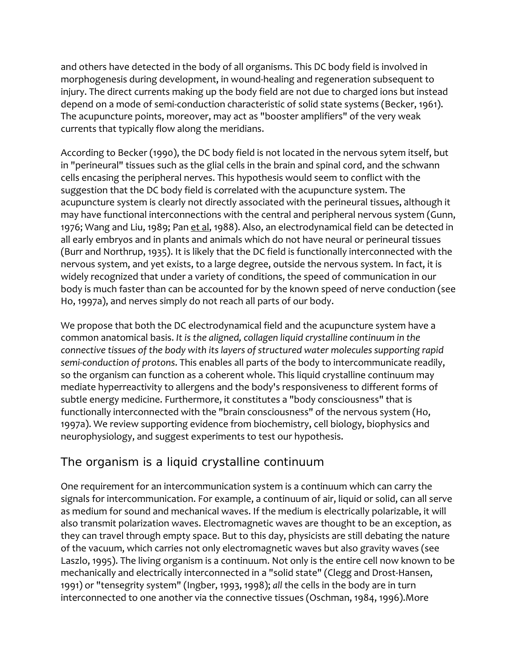and others have detected in the body of all organisms. This DC body field is involved in morphogenesis during development, in wound‐healing and regeneration subsequent to injury. The direct currents making up the body field are not due to charged ions but instead depend on a mode of semi-conduction characteristic of solid state systems (Becker, 1961). The acupuncture points, moreover, may act as "booster amplifiers" of the very weak currents that typically flow along the meridians.

According to Becker (1990), the DC body field is not located in the nervous sytem itself, but in "perineural" tissues such as the glial cells in the brain and spinal cord, and the schwann cells encasing the peripheral nerves. This hypothesis would seem to conflict with the suggestion that the DC body field is correlated with the acupuncture system. The acupuncture system is clearly not directly associated with the perineural tissues, although it may have functional interconnections with the central and peripheral nervous system (Gunn, 1976; Wang and Liu, 1989; Pan et al, 1988). Also, an electrodynamical field can be detected in all early embryos and in plants and animals which do not have neural or perineural tissues (Burr and Northrup, 1935). It is likely that the DC field is functionally interconnected with the nervous system, and yet exists, to a large degree, outside the nervous system. In fact, it is widely recognized that under a variety of conditions, the speed of communication in our body is much faster than can be accounted for by the known speed of nerve conduction (see Ho, 1997a), and nerves simply do not reach all parts of our body.

We propose that both the DC electrodynamical field and the acupuncture system have a common anatomical basis. *It is the aligned, collagen liquid crystalline continuum in the connective tissues of the body with its layers of structured water molecules supporting rapid semi‐conduction of protons*. This enables all parts of the body to intercommunicate readily, so the organism can function as a coherent whole. This liquid crystalline continuum may mediate hyperreactivity to allergens and the body's responsiveness to different forms of subtle energy medicine. Furthermore, it constitutes a "body consciousness" that is functionally interconnected with the "brain consciousness" of the nervous system (Ho, 1997a). We review supporting evidence from biochemistry, cell biology, biophysics and neurophysiology, and suggest experiments to test our hypothesis.

#### The organism is a liquid crystalline continuum

One requirement for an intercommunication system is a continuum which can carry the signals for intercommunication. For example, a continuum of air, liquid or solid, can all serve as medium for sound and mechanical waves. If the medium is electrically polarizable, it will also transmit polarization waves. Electromagnetic waves are thought to be an exception, as they can travel through empty space. But to this day, physicists are still debating the nature of the vacuum, which carries not only electromagnetic waves but also gravity waves (see Laszlo, 1995). The living organism is a continuum. Not only is the entire cell now known to be mechanically and electrically interconnected in a "solid state" (Clegg and Drost-Hansen, 1991) or "tensegrity system" (Ingber, 1993, 1998); *all* the cells in the body are in turn interconnected to one another via the connective tissues (Oschman, 1984, 1996).More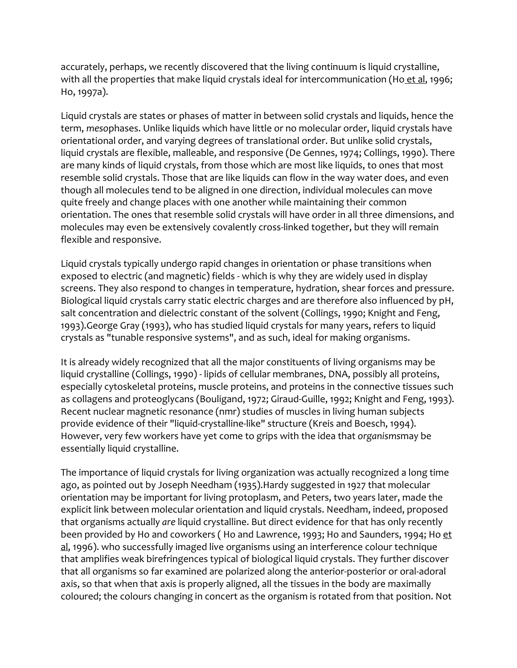accurately, perhaps, we recently discovered that the living continuum is liquid crystalline, with all the properties that make liquid crystals ideal for intercommunication (Ho et al, 1996; Ho, 1997a).

Liquid crystals are states or phases of matter in between solid crystals and liquids, hence the term, *meso*phases. Unlike liquids which have little or no molecular order, liquid crystals have orientational order, and varying degrees of translational order. But unlike solid crystals, liquid crystals are flexible, malleable, and responsive (De Gennes, 1974; Collings, 1990). There are many kinds of liquid crystals, from those which are most like liquids, to ones that most resemble solid crystals. Those that are like liquids can flow in the way water does, and even though all molecules tend to be aligned in one direction, individual molecules can move quite freely and change places with one another while maintaining their common orientation. The ones that resemble solid crystals will have order in all three dimensions, and molecules may even be extensively covalently cross-linked together, but they will remain flexible and responsive.

Liquid crystals typically undergo rapid changes in orientation or phase transitions when exposed to electric (and magnetic) fields ‐ which is why they are widely used in display screens. They also respond to changes in temperature, hydration, shear forces and pressure. Biological liquid crystals carry static electric charges and are therefore also influenced by pH, salt concentration and dielectric constant of the solvent (Collings, 1990; Knight and Feng, 1993).George Gray (1993), who has studied liquid crystals for many years, refers to liquid crystals as "tunable responsive systems", and as such, ideal for making organisms.

It is already widely recognized that all the major constituents of living organisms may be liquid crystalline (Collings, 1990) ‐ lipids of cellular membranes, DNA, possibly all proteins, especially cytoskeletal proteins, muscle proteins, and proteins in the connective tissues such as collagens and proteoglycans (Bouligand, 1972; Giraud‐Guille, 1992; Knight and Feng, 1993). Recent nuclear magnetic resonance (nmr) studies of muscles in living human subjects provide evidence of their "liquid-crystalline-like" structure (Kreis and Boesch, 1994). However, very few workers have yet come to grips with the idea that *organisms*may be essentially liquid crystalline.

The importance of liquid crystals for living organization was actually recognized a long time ago, as pointed out by Joseph Needham (1935).Hardy suggested in 1927 that molecular orientation may be important for living protoplasm, and Peters, two years later, made the explicit link between molecular orientation and liquid crystals. Needham, indeed, proposed that organisms actually *are* liquid crystalline. But direct evidence for that has only recently been provided by Ho and coworkers (Ho and Lawrence, 1993; Ho and Saunders, 1994; Ho et al, 1996). who successfully imaged live organisms using an interference colour technique that amplifies weak birefringences typical of biological liquid crystals. They further discover that all organisms so far examined are polarized along the anterior‐posterior or oral‐adoral axis, so that when that axis is properly aligned, all the tissues in the body are maximally coloured; the colours changing in concert as the organism is rotated from that position. Not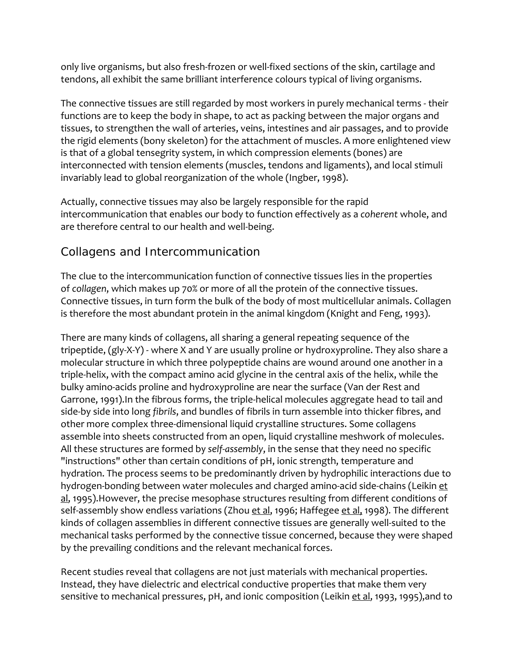only live organisms, but also fresh‐frozen or well‐fixed sections of the skin, cartilage and tendons, all exhibit the same brilliant interference colours typical of living organisms.

The connective tissues are still regarded by most workers in purely mechanical terms ‐ their functions are to keep the body in shape, to act as packing between the major organs and tissues, to strengthen the wall of arteries, veins, intestines and air passages, and to provide the rigid elements (bony skeleton) for the attachment of muscles. A more enlightened view is that of a global tensegrity system, in which compression elements (bones) are interconnected with tension elements (muscles, tendons and ligaments), and local stimuli invariably lead to global reorganization of the whole (Ingber, 1998).

Actually, connective tissues may also be largely responsible for the rapid intercommunication that enables our body to function effectively as a *coherent* whole, and are therefore central to our health and well‐being.

#### Collagens and Intercommunication

The clue to the intercommunication function of connective tissues lies in the properties of *collagen*, which makes up 70% or more of all the protein of the connective tissues. Connective tissues, in turn form the bulk of the body of most multicellular animals. Collagen is therefore the most abundant protein in the animal kingdom (Knight and Feng, 1993).

There are many kinds of collagens, all sharing a general repeating sequence of the tripeptide, (gly‐X‐Y) ‐ where X and Y are usually proline or hydroxyproline. They also share a molecular structure in which three polypeptide chains are wound around one another in a triple‐helix, with the compact amino acid glycine in the central axis of the helix, while the bulky amino‐acids proline and hydroxyproline are near the surface (Van der Rest and Garrone, 1991).In the fibrous forms, the triple‐helical molecules aggregate head to tail and side‐by side into long *fibrils*, and bundles of fibrils in turn assemble into thicker fibres, and other more complex three‐dimensional liquid crystalline structures. Some collagens assemble into sheets constructed from an open, liquid crystalline meshwork of molecules. All these structures are formed by *self‐assembly*, in the sense that they need no specific "instructions" other than certain conditions of pH, ionic strength, temperature and hydration. The process seems to be predominantly driven by hydrophilic interactions due to hydrogen-bonding between water molecules and charged amino-acid side-chains (Leikin et al, 1995).However, the precise mesophase structures resulting from different conditions of self-assembly show endless variations (Zhou et al, 1996; Haffegee et al, 1998). The different kinds of collagen assemblies in different connective tissues are generally well-suited to the mechanical tasks performed by the connective tissue concerned, because they were shaped by the prevailing conditions and the relevant mechanical forces.

Recent studies reveal that collagens are not just materials with mechanical properties. Instead, they have dielectric and electrical conductive properties that make them very sensitive to mechanical pressures, pH, and ionic composition (Leikin et al, 1993, 1995), and to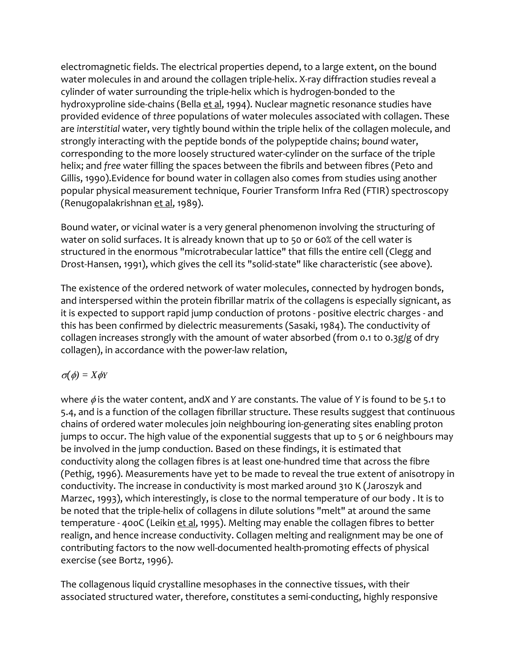electromagnetic fields. The electrical properties depend, to a large extent, on the bound water molecules in and around the collagen triple-helix. X-ray diffraction studies reveal a cylinder of water surrounding the triple‐helix which is hydrogen‐bonded to the hydroxyproline side-chains (Bella et al, 1994). Nuclear magnetic resonance studies have provided evidence of *three* populations of water molecules associated with collagen. These are *interstitial* water, very tightly bound within the triple helix of the collagen molecule, and strongly interacting with the peptide bonds of the polypeptide chains; *bound* water, corresponding to the more loosely structured water‐cylinder on the surface of the triple helix; and *free* water filling the spaces between the fibrils and between fibres (Peto and Gillis, 1990).Evidence for bound water in collagen also comes from studies using another popular physical measurement technique, Fourier Transform Infra Red (FTIR) spectroscopy (Renugopalakrishnan et al, 1989).

Bound water, or vicinal water is a very general phenomenon involving the structuring of water on solid surfaces. It is already known that up to 50 or 60% of the cell water is structured in the enormous "microtrabecular lattice" that fills the entire cell (Clegg and Drost-Hansen, 1991), which gives the cell its "solid-state" like characteristic (see above).

The existence of the ordered network of water molecules, connected by hydrogen bonds, and interspersed within the protein fibrillar matrix of the collagens is especially signicant, as it is expected to support rapid jump conduction of protons ‐ positive electric charges ‐ and this has been confirmed by dielectric measurements (Sasaki, 1984). The conductivity of collagen increases strongly with the amount of water absorbed (from 0.1 to 0.3g/g of dry collagen), in accordance with the power‐law relation,

#### $\sigma(\phi) = X \phi Y$

where  $\phi$  is the water content, and*X* and *Y* are constants. The value of *Y* is found to be 5.1 to 5.4, and is a function of the collagen fibrillar structure. These results suggest that continuous chains of ordered water molecules join neighbouring ion‐generating sites enabling proton jumps to occur. The high value of the exponential suggests that up to 5 or 6 neighbours may be involved in the jump conduction. Based on these findings, it is estimated that conductivity along the collagen fibres is at least one‐hundred time that across the fibre (Pethig, 1996). Measurements have yet to be made to reveal the true extent of anisotropy in conductivity. The increase in conductivity is most marked around 310 K (Jaroszyk and Marzec, 1993), which interestingly, is close to the normal temperature of our body . It is to be noted that the triple-helix of collagens in dilute solutions "melt" at around the same temperature - 400C (Leikin et al, 1995). Melting may enable the collagen fibres to better realign, and hence increase conductivity. Collagen melting and realignment may be one of contributing factors to the now well‐documented health‐promoting effects of physical exercise (see Bortz, 1996).

The collagenous liquid crystalline mesophases in the connective tissues, with their associated structured water, therefore, constitutes a semi‐conducting, highly responsive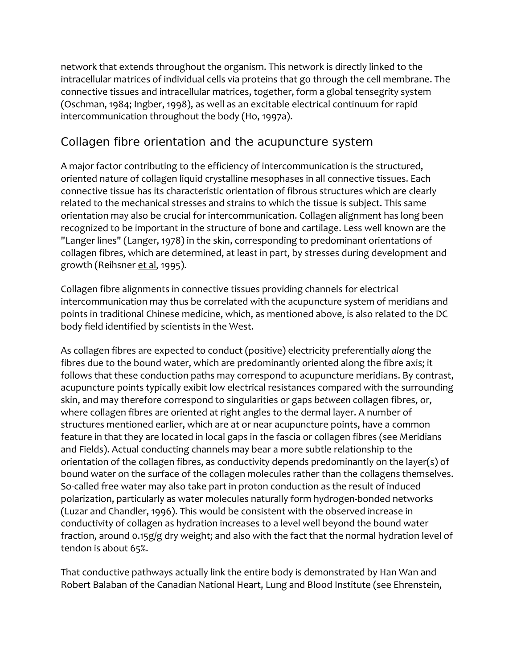network that extends throughout the organism. This network is directly linked to the intracellular matrices of individual cells via proteins that go through the cell membrane. The connective tissues and intracellular matrices, together, form a global tensegrity system (Oschman, 1984; Ingber, 1998), as well as an excitable electrical continuum for rapid intercommunication throughout the body (Ho, 1997a).

#### Collagen fibre orientation and the acupuncture system

A major factor contributing to the efficiency of intercommunication is the structured, oriented nature of collagen liquid crystalline mesophases in all connective tissues. Each connective tissue has its characteristic orientation of fibrous structures which are clearly related to the mechanical stresses and strains to which the tissue is subject. This same orientation may also be crucial for intercommunication. Collagen alignment has long been recognized to be important in the structure of bone and cartilage. Less well known are the "Langer lines" (Langer, 1978) in the skin, corresponding to predominant orientations of collagen fibres, which are determined, at least in part, by stresses during development and growth (Reihsner et al, 1995).

Collagen fibre alignments in connective tissues providing channels for electrical intercommunication may thus be correlated with the acupuncture system of meridians and points in traditional Chinese medicine, which, as mentioned above, is also related to the DC body field identified by scientists in the West.

As collagen fibres are expected to conduct (positive) electricity preferentially *along* the fibres due to the bound water, which are predominantly oriented along the fibre axis; it follows that these conduction paths may correspond to acupuncture meridians. By contrast, acupuncture points typically exibit low electrical resistances compared with the surrounding skin, and may therefore correspond to singularities or gaps *between* collagen fibres, or, where collagen fibres are oriented at right angles to the dermal layer. A number of structures mentioned earlier, which are at or near acupuncture points, have a common feature in that they are located in local gaps in the fascia or collagen fibres (see Meridians and Fields). Actual conducting channels may bear a more subtle relationship to the orientation of the collagen fibres, as conductivity depends predominantly on the layer(s) of bound water on the surface of the collagen molecules rather than the collagens themselves. So-called free water may also take part in proton conduction as the result of induced polarization, particularly as water molecules naturally form hydrogen‐bonded networks (Luzar and Chandler, 1996). This would be consistent with the observed increase in conductivity of collagen as hydration increases to a level well beyond the bound water fraction, around 0.15g/g dry weight; and also with the fact that the normal hydration level of tendon is about 65%.

That conductive pathways actually link the entire body is demonstrated by Han Wan and Robert Balaban of the Canadian National Heart, Lung and Blood Institute (see Ehrenstein,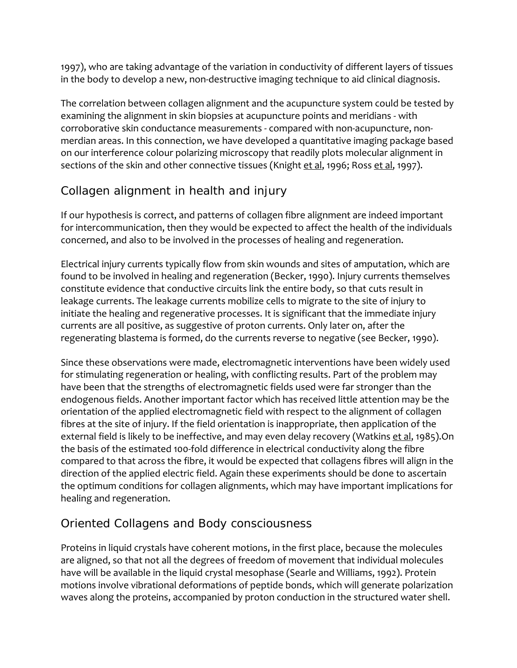1997), who are taking advantage of the variation in conductivity of different layers of tissues in the body to develop a new, non‐destructive imaging technique to aid clinical diagnosis.

The correlation between collagen alignment and the acupuncture system could be tested by examining the alignment in skin biopsies at acupuncture points and meridians ‐ with corroborative skin conductance measurements ‐ compared with non‐acupuncture, non‐ merdian areas. In this connection, we have developed a quantitative imaging package based on our interference colour polarizing microscopy that readily plots molecular alignment in sections of the skin and other connective tissues (Knight et al, 1996; Ross et al, 1997).

# Collagen alignment in health and injury

If our hypothesis is correct, and patterns of collagen fibre alignment are indeed important for intercommunication, then they would be expected to affect the health of the individuals concerned, and also to be involved in the processes of healing and regeneration.

Electrical injury currents typically flow from skin wounds and sites of amputation, which are found to be involved in healing and regeneration (Becker, 1990). Injury currents themselves constitute evidence that conductive circuits link the entire body, so that cuts result in leakage currents. The leakage currents mobilize cells to migrate to the site of injury to initiate the healing and regenerative processes. It is significant that the immediate injury currents are all positive, as suggestive of proton currents. Only later on, after the regenerating blastema is formed, do the currents reverse to negative (see Becker, 1990).

Since these observations were made, electromagnetic interventions have been widely used for stimulating regeneration or healing, with conflicting results. Part of the problem may have been that the strengths of electromagnetic fields used were far stronger than the endogenous fields. Another important factor which has received little attention may be the orientation of the applied electromagnetic field with respect to the alignment of collagen fibres at the site of injury. If the field orientation is inappropriate, then application of the external field is likely to be ineffective, and may even delay recovery (Watkins et al, 1985).On the basis of the estimated 100‐fold difference in electrical conductivity along the fibre compared to that across the fibre, it would be expected that collagens fibres will align in the direction of the applied electric field. Again these experiments should be done to ascertain the optimum conditions for collagen alignments, which may have important implications for healing and regeneration.

# Oriented Collagens and Body consciousness

Proteins in liquid crystals have coherent motions, in the first place, because the molecules are aligned, so that not all the degrees of freedom of movement that individual molecules have will be available in the liquid crystal mesophase (Searle and Williams, 1992). Protein motions involve vibrational deformations of peptide bonds, which will generate polarization waves along the proteins, accompanied by proton conduction in the structured water shell.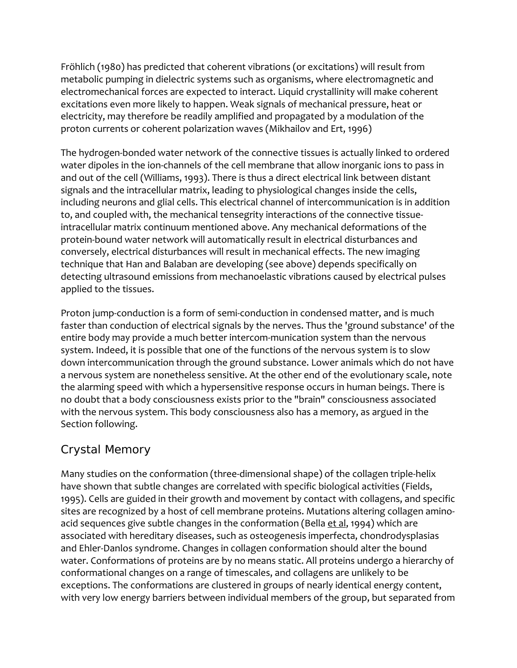Fröhlich (1980) has predicted that coherent vibrations (or excitations) will result from metabolic pumping in dielectric systems such as organisms, where electromagnetic and electromechanical forces are expected to interact. Liquid crystallinity will make coherent excitations even more likely to happen. Weak signals of mechanical pressure, heat or electricity, may therefore be readily amplified and propagated by a modulation of the proton currents or coherent polarization waves (Mikhailov and Ert, 1996)

The hydrogen‐bonded water network of the connective tissues is actually linked to ordered water dipoles in the ion-channels of the cell membrane that allow inorganic ions to pass in and out of the cell (Williams, 1993). There is thus a direct electrical link between distant signals and the intracellular matrix, leading to physiological changes inside the cells, including neurons and glial cells. This electrical channel of intercommunication is in addition to, and coupled with, the mechanical tensegrity interactions of the connective tissue‐ intracellular matrix continuum mentioned above. Any mechanical deformations of the protein‐bound water network will automatically result in electrical disturbances and conversely, electrical disturbances will result in mechanical effects. The new imaging technique that Han and Balaban are developing (see above) depends specifically on detecting ultrasound emissions from mechanoelastic vibrations caused by electrical pulses applied to the tissues.

Proton jump-conduction is a form of semi-conduction in condensed matter, and is much faster than conduction of electrical signals by the nerves. Thus the 'ground substance' of the entire body may provide a much better intercom-munication system than the nervous system. Indeed, it is possible that one of the functions of the nervous system is to slow down intercommunication through the ground substance. Lower animals which do not have a nervous system are nonetheless sensitive. At the other end of the evolutionary scale, note the alarming speed with which a hypersensitive response occurs in human beings. There is no doubt that a body consciousness exists prior to the "brain" consciousness associated with the nervous system. This body consciousness also has a memory, as argued in the Section following.

# Crystal Memory

Many studies on the conformation (three-dimensional shape) of the collagen triple-helix have shown that subtle changes are correlated with specific biological activities (Fields, 1995). Cells are guided in their growth and movement by contact with collagens, and specific sites are recognized by a host of cell membrane proteins. Mutations altering collagen amino‐ acid sequences give subtle changes in the conformation (Bella et al, 1994) which are associated with hereditary diseases, such as osteogenesis imperfecta, chondrodysplasias and Ehler‐Danlos syndrome. Changes in collagen conformation should alter the bound water. Conformations of proteins are by no means static. All proteins undergo a hierarchy of conformational changes on a range of timescales, and collagens are unlikely to be exceptions. The conformations are clustered in groups of nearly identical energy content, with very low energy barriers between individual members of the group, but separated from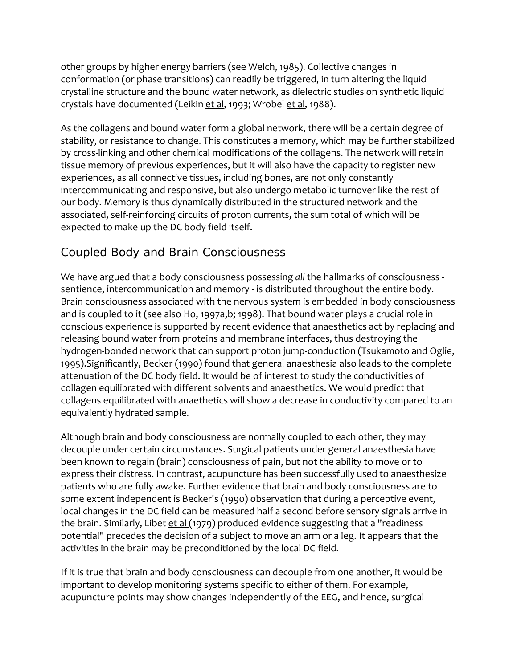other groups by higher energy barriers (see Welch, 1985). Collective changes in conformation (or phase transitions) can readily be triggered, in turn altering the liquid crystalline structure and the bound water network, as dielectric studies on synthetic liquid crystals have documented (Leikin et al, 1993; Wrobel et al, 1988).

As the collagens and bound water form a global network, there will be a certain degree of stability, or resistance to change. This constitutes a memory, which may be further stabilized by cross‐linking and other chemical modifications of the collagens. The network will retain tissue memory of previous experiences, but it will also have the capacity to register new experiences, as all connective tissues, including bones, are not only constantly intercommunicating and responsive, but also undergo metabolic turnover like the rest of our body. Memory is thus dynamically distributed in the structured network and the associated, self-reinforcing circuits of proton currents, the sum total of which will be expected to make up the DC body field itself.

### Coupled Body and Brain Consciousness

We have argued that a body consciousness possessing *all* the hallmarks of consciousness ‐ sentience, intercommunication and memory - is distributed throughout the entire body. Brain consciousness associated with the nervous system is embedded in body consciousness and is coupled to it (see also Ho, 1997a,b; 1998). That bound water plays a crucial role in conscious experience is supported by recent evidence that anaesthetics act by replacing and releasing bound water from proteins and membrane interfaces, thus destroying the hydrogen‐bonded network that can support proton jump‐conduction (Tsukamoto and Oglie, 1995).Significantly, Becker (1990) found that general anaesthesia also leads to the complete attenuation of the DC body field. It would be of interest to study the conductivities of collagen equilibrated with different solvents and anaesthetics. We would predict that collagens equilibrated with anaethetics will show a decrease in conductivity compared to an equivalently hydrated sample.

Although brain and body consciousness are normally coupled to each other, they may decouple under certain circumstances. Surgical patients under general anaesthesia have been known to regain (brain) consciousness of pain, but not the ability to move or to express their distress. In contrast, acupuncture has been successfully used to anaesthesize patients who are fully awake. Further evidence that brain and body consciousness are to some extent independent is Becker's (1990) observation that during a perceptive event, local changes in the DC field can be measured half a second before sensory signals arrive in the brain. Similarly, Libet  $et$  al  $(1979)$  produced evidence suggesting that a "readiness potential" precedes the decision of a subject to move an arm or a leg. It appears that the activities in the brain may be preconditioned by the local DC field.

If it is true that brain and body consciousness can decouple from one another, it would be important to develop monitoring systems specific to either of them. For example, acupuncture points may show changes independently of the EEG, and hence, surgical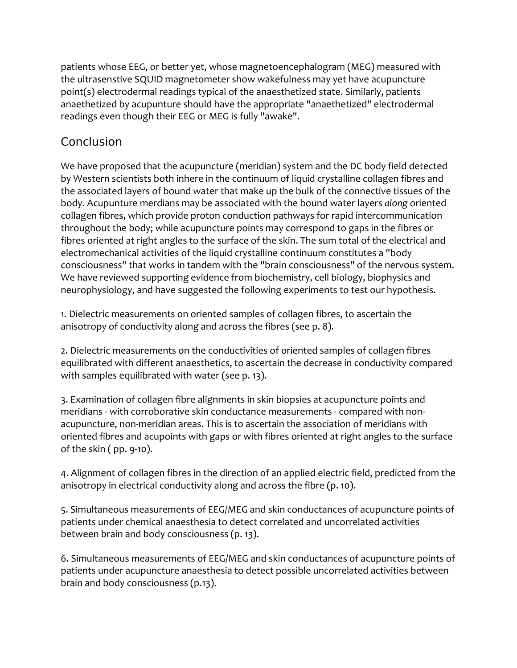patients whose EEG, or better yet, whose magnetoencephalogram (MEG) measured with the ultrasenstive SQUID magnetometer show wakefulness may yet have acupuncture point(s) electrodermal readings typical of the anaesthetized state. Similarly, patients anaethetized by acupunture should have the appropriate "anaethetized" electrodermal readings even though their EEG or MEG is fully "awake".

#### **Conclusion**

We have proposed that the acupuncture (meridian) system and the DC body field detected by Western scientists both inhere in the continuum of liquid crystalline collagen fibres and the associated layers of bound water that make up the bulk of the connective tissues of the body. Acupunture merdians may be associated with the bound water layers *along* oriented collagen fibres, which provide proton conduction pathways for rapid intercommunication throughout the body; while acupuncture points may correspond to gaps in the fibres or fibres oriented at right angles to the surface of the skin. The sum total of the electrical and electromechanical activities of the liquid crystalline continuum constitutes a "body consciousness" that works in tandem with the "brain consciousness" of the nervous system. We have reviewed supporting evidence from biochemistry, cell biology, biophysics and neurophysiology, and have suggested the following experiments to test our hypothesis.

1. Dielectric measurements on oriented samples of collagen fibres, to ascertain the anisotropy of conductivity along and across the fibres (see p. 8).

2. Dielectric measurements on the conductivities of oriented samples of collagen fibres equilibrated with different anaesthetics, to ascertain the decrease in conductivity compared with samples equilibrated with water (see p. 13).

3. Examination of collagen fibre alignments in skin biopsies at acupuncture points and meridians - with corroborative skin conductance measurements - compared with nonacupuncture, non‐meridian areas. This is to ascertain the association of meridians with oriented fibres and acupoints with gaps or with fibres oriented at right angles to the surface of the skin ( pp. 9‐10).

4. Alignment of collagen fibres in the direction of an applied electric field, predicted from the anisotropy in electrical conductivity along and across the fibre (p. 10).

5. Simultaneous measurements of EEG/MEG and skin conductances of acupuncture points of patients under chemical anaesthesia to detect correlated and uncorrelated activities between brain and body consciousness (p. 13).

6. Simultaneous measurements of EEG/MEG and skin conductances of acupuncture points of patients under acupuncture anaesthesia to detect possible uncorrelated activities between brain and body consciousness (p.13).